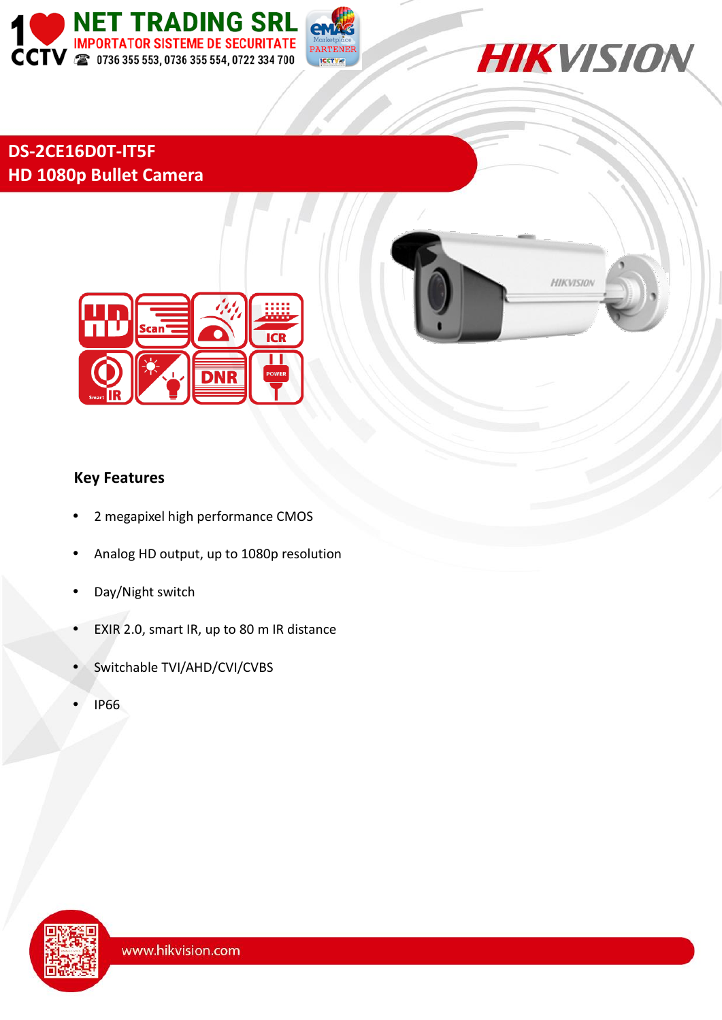



# **DS-2CE16D0T-IT5F HD 1080p Bullet Camera**





## **Key Features**

- 2 megapixel high performance CMOS
- Analog HD output, up to 1080p resolution
- Day/Night switch
- EXIR 2.0, smart IR, up to 80 m IR distance
- Switchable TVI/AHD/CVI/CVBS
- IP66

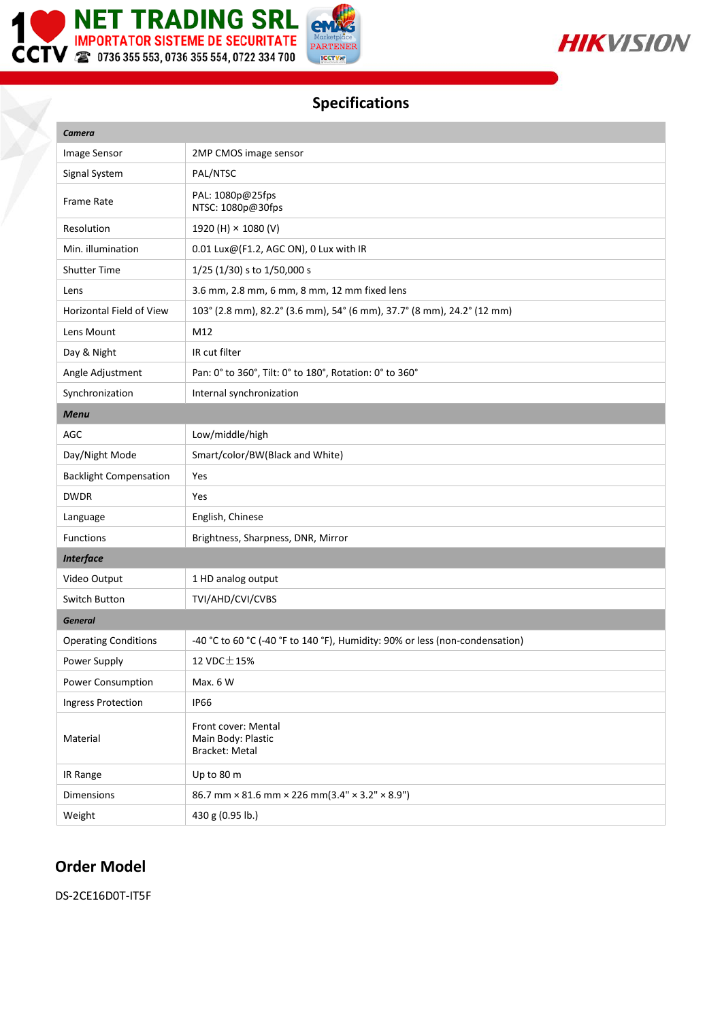







## **Specifications**

| Camera                        |                                                                              |
|-------------------------------|------------------------------------------------------------------------------|
| Image Sensor                  | 2MP CMOS image sensor                                                        |
| Signal System                 | PAL/NTSC                                                                     |
| Frame Rate                    | PAL: 1080p@25fps<br>NTSC: 1080p@30fps                                        |
| Resolution                    | 1920 (H) × 1080 (V)                                                          |
| Min. illumination             | 0.01 Lux@(F1.2, AGC ON), 0 Lux with IR                                       |
| <b>Shutter Time</b>           | 1/25 (1/30) s to 1/50,000 s                                                  |
| Lens                          | 3.6 mm, 2.8 mm, 6 mm, 8 mm, 12 mm fixed lens                                 |
| Horizontal Field of View      | 103° (2.8 mm), 82.2° (3.6 mm), 54° (6 mm), 37.7° (8 mm), 24.2° (12 mm)       |
| Lens Mount                    | M12                                                                          |
| Day & Night                   | IR cut filter                                                                |
| Angle Adjustment              | Pan: 0° to 360°, Tilt: 0° to 180°, Rotation: 0° to 360°                      |
| Synchronization               | Internal synchronization                                                     |
| <b>Menu</b>                   |                                                                              |
| <b>AGC</b>                    | Low/middle/high                                                              |
| Day/Night Mode                | Smart/color/BW(Black and White)                                              |
| <b>Backlight Compensation</b> | Yes                                                                          |
| <b>DWDR</b>                   | Yes                                                                          |
| Language                      | English, Chinese                                                             |
| Functions                     | Brightness, Sharpness, DNR, Mirror                                           |
| <b>Interface</b>              |                                                                              |
| Video Output                  | 1 HD analog output                                                           |
| Switch Button                 | TVI/AHD/CVI/CVBS                                                             |
| <b>General</b>                |                                                                              |
| <b>Operating Conditions</b>   | -40 °C to 60 °C (-40 °F to 140 °F), Humidity: 90% or less (non-condensation) |
| Power Supply                  | 12 VDC $\pm$ 15%                                                             |
| Power Consumption             | Max. 6 W                                                                     |
| <b>Ingress Protection</b>     | <b>IP66</b>                                                                  |
| Material                      | Front cover: Mental<br>Main Body: Plastic<br><b>Bracket: Metal</b>           |
| IR Range                      | Up to 80 m                                                                   |
| Dimensions                    | 86.7 mm × 81.6 mm × 226 mm(3.4" × 3.2" × 8.9")                               |
| Weight                        | 430 g (0.95 lb.)                                                             |

## **Order Model**

DS-2CE16D0T-IT5F